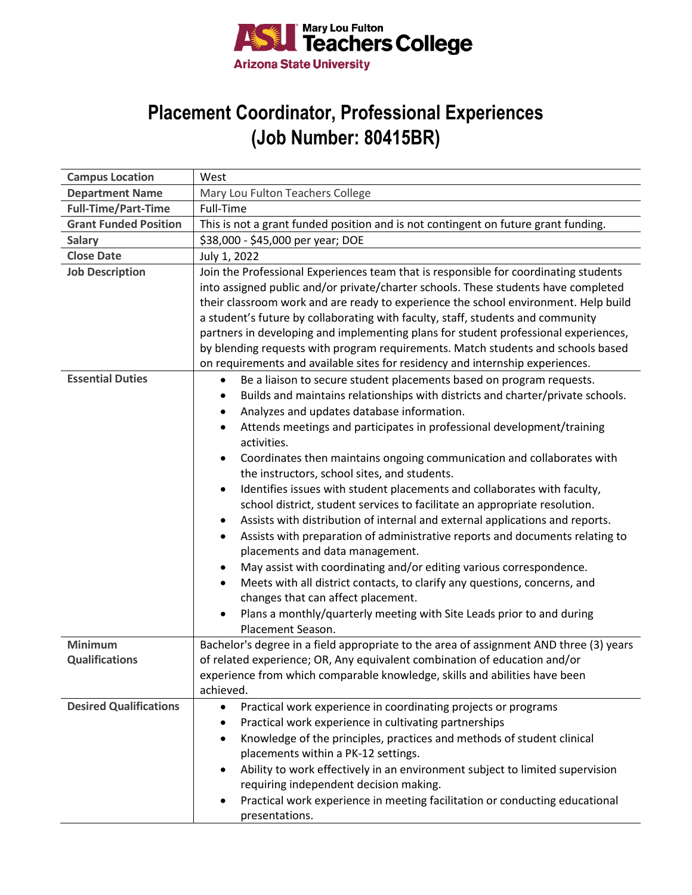

## **Placement Coordinator, Professional Experiences (Job Number: 80415BR)**

| <b>Campus Location</b>        | West                                                                                          |
|-------------------------------|-----------------------------------------------------------------------------------------------|
| <b>Department Name</b>        | Mary Lou Fulton Teachers College                                                              |
| <b>Full-Time/Part-Time</b>    | Full-Time                                                                                     |
| <b>Grant Funded Position</b>  | This is not a grant funded position and is not contingent on future grant funding.            |
| <b>Salary</b>                 | \$38,000 - \$45,000 per year; DOE                                                             |
| <b>Close Date</b>             | July 1, 2022                                                                                  |
| <b>Job Description</b>        | Join the Professional Experiences team that is responsible for coordinating students          |
|                               | into assigned public and/or private/charter schools. These students have completed            |
|                               | their classroom work and are ready to experience the school environment. Help build           |
|                               | a student's future by collaborating with faculty, staff, students and community               |
|                               | partners in developing and implementing plans for student professional experiences,           |
|                               | by blending requests with program requirements. Match students and schools based              |
|                               | on requirements and available sites for residency and internship experiences.                 |
| <b>Essential Duties</b>       | Be a liaison to secure student placements based on program requests.<br>$\bullet$             |
|                               | Builds and maintains relationships with districts and charter/private schools.                |
|                               | Analyzes and updates database information.                                                    |
|                               | Attends meetings and participates in professional development/training<br>activities.         |
|                               | Coordinates then maintains ongoing communication and collaborates with                        |
|                               | the instructors, school sites, and students.                                                  |
|                               | Identifies issues with student placements and collaborates with faculty,                      |
|                               | school district, student services to facilitate an appropriate resolution.                    |
|                               | Assists with distribution of internal and external applications and reports.                  |
|                               | Assists with preparation of administrative reports and documents relating to                  |
|                               | placements and data management.                                                               |
|                               | May assist with coordinating and/or editing various correspondence.                           |
|                               | Meets with all district contacts, to clarify any questions, concerns, and                     |
|                               | changes that can affect placement.                                                            |
|                               | Plans a monthly/quarterly meeting with Site Leads prior to and during                         |
|                               | Placement Season.                                                                             |
| <b>Minimum</b>                | Bachelor's degree in a field appropriate to the area of assignment AND three (3) years        |
| <b>Qualifications</b>         | of related experience; OR, Any equivalent combination of education and/or                     |
|                               | experience from which comparable knowledge, skills and abilities have been                    |
|                               | achieved.                                                                                     |
| <b>Desired Qualifications</b> | Practical work experience in coordinating projects or programs<br>$\bullet$                   |
|                               | Practical work experience in cultivating partnerships                                         |
|                               | Knowledge of the principles, practices and methods of student clinical<br>٠                   |
|                               | placements within a PK-12 settings.                                                           |
|                               | Ability to work effectively in an environment subject to limited supervision                  |
|                               | requiring independent decision making.                                                        |
|                               | Practical work experience in meeting facilitation or conducting educational<br>presentations. |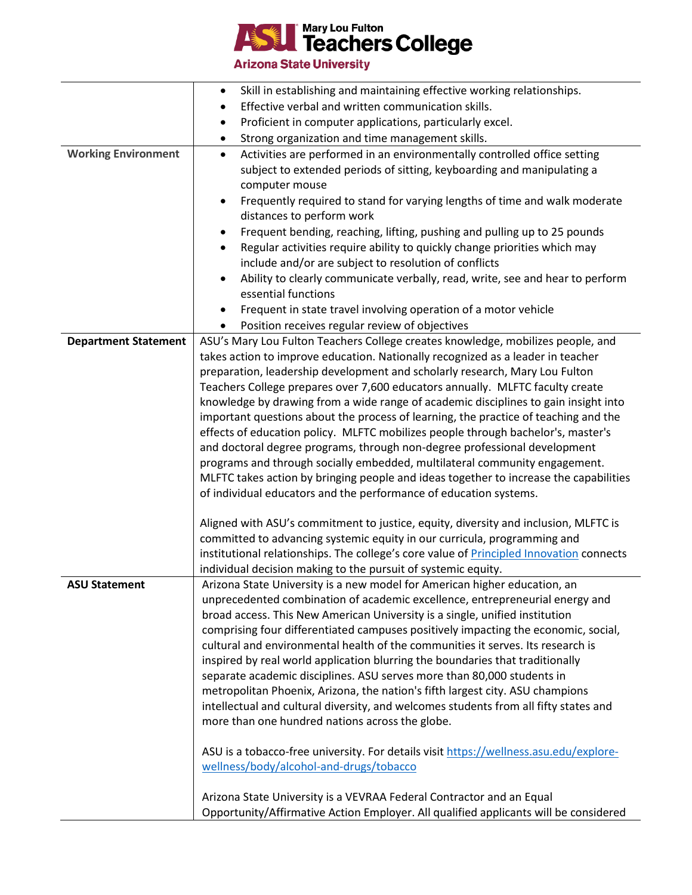

**Arizona State University** 

|                             | Skill in establishing and maintaining effective working relationships.                                                                  |
|-----------------------------|-----------------------------------------------------------------------------------------------------------------------------------------|
|                             | Effective verbal and written communication skills.                                                                                      |
|                             | Proficient in computer applications, particularly excel.<br>٠                                                                           |
|                             | Strong organization and time management skills.<br>٠                                                                                    |
| <b>Working Environment</b>  | Activities are performed in an environmentally controlled office setting<br>$\bullet$                                                   |
|                             | subject to extended periods of sitting, keyboarding and manipulating a                                                                  |
|                             | computer mouse                                                                                                                          |
|                             | Frequently required to stand for varying lengths of time and walk moderate                                                              |
|                             | distances to perform work                                                                                                               |
|                             | Frequent bending, reaching, lifting, pushing and pulling up to 25 pounds                                                                |
|                             | Regular activities require ability to quickly change priorities which may                                                               |
|                             | include and/or are subject to resolution of conflicts                                                                                   |
|                             | Ability to clearly communicate verbally, read, write, see and hear to perform                                                           |
|                             | essential functions                                                                                                                     |
|                             | Frequent in state travel involving operation of a motor vehicle                                                                         |
|                             | Position receives regular review of objectives<br>٠                                                                                     |
| <b>Department Statement</b> | ASU's Mary Lou Fulton Teachers College creates knowledge, mobilizes people, and                                                         |
|                             | takes action to improve education. Nationally recognized as a leader in teacher                                                         |
|                             | preparation, leadership development and scholarly research, Mary Lou Fulton                                                             |
|                             | Teachers College prepares over 7,600 educators annually. MLFTC faculty create                                                           |
|                             | knowledge by drawing from a wide range of academic disciplines to gain insight into                                                     |
|                             | important questions about the process of learning, the practice of teaching and the                                                     |
|                             | effects of education policy. MLFTC mobilizes people through bachelor's, master's                                                        |
|                             | and doctoral degree programs, through non-degree professional development                                                               |
|                             | programs and through socially embedded, multilateral community engagement.                                                              |
|                             | MLFTC takes action by bringing people and ideas together to increase the capabilities                                                   |
|                             | of individual educators and the performance of education systems.                                                                       |
|                             | Aligned with ASU's commitment to justice, equity, diversity and inclusion, MLFTC is                                                     |
|                             | committed to advancing systemic equity in our curricula, programming and                                                                |
|                             | institutional relationships. The college's core value of Principled Innovation connects                                                 |
|                             | individual decision making to the pursuit of systemic equity.                                                                           |
| <b>ASU Statement</b>        | Arizona State University is a new model for American higher education, an                                                               |
|                             | unprecedented combination of academic excellence, entrepreneurial energy and                                                            |
|                             | broad access. This New American University is a single, unified institution                                                             |
|                             | comprising four differentiated campuses positively impacting the economic, social,                                                      |
|                             | cultural and environmental health of the communities it serves. Its research is                                                         |
|                             | inspired by real world application blurring the boundaries that traditionally                                                           |
|                             | separate academic disciplines. ASU serves more than 80,000 students in                                                                  |
|                             | metropolitan Phoenix, Arizona, the nation's fifth largest city. ASU champions                                                           |
|                             | intellectual and cultural diversity, and welcomes students from all fifty states and<br>more than one hundred nations across the globe. |
|                             |                                                                                                                                         |
|                             | ASU is a tobacco-free university. For details visit https://wellness.asu.edu/explore-                                                   |
|                             | wellness/body/alcohol-and-drugs/tobacco                                                                                                 |
|                             |                                                                                                                                         |
|                             | Arizona State University is a VEVRAA Federal Contractor and an Equal                                                                    |
|                             | Opportunity/Affirmative Action Employer. All qualified applicants will be considered                                                    |